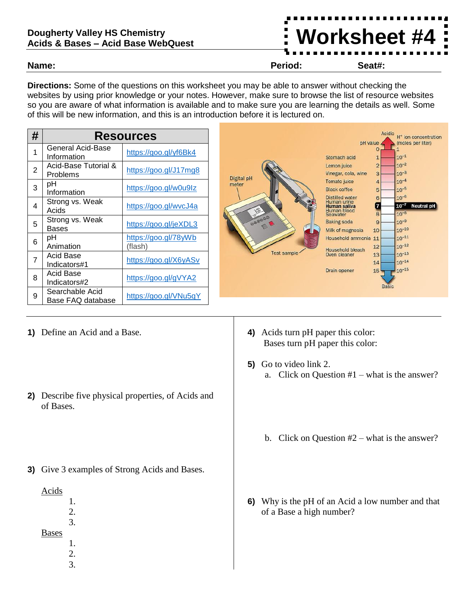## **Dougherty Valley HS Chemistry Acids & Bases – Acid Base WebQuest**

**Directions:** Some of the questions on this worksheet you may be able to answer without checking the websites by using prior knowledge or your notes. However, make sure to browse the list of resource websites so you are aware of what information is available and to make sure you are learning the details as well. Some of this will be new information, and this is an introduction before it is lectured on.

| # | <b>Resources</b>                     |                                 |
|---|--------------------------------------|---------------------------------|
| 1 | General Acid-Base<br>Information     | https://goo.gl/yf6Bk4           |
| 2 | Acid-Base Tutorial &<br>Problems     | https://goo.gl/J17mg8           |
| 3 | рH<br>Information                    | https://goo.gl/w0u9lz           |
| 4 | Strong vs. Weak<br>Acids             | https://goo.gl/wvcJ4a           |
| 5 | Strong vs. Weak<br>Bases             | https://goo.gl/jeXDL3           |
| 6 | pН<br>Animation                      | https://goo.gl/78yWb<br>(flash) |
| 7 | Acid Base<br>Indicators#1            | https://goo.gl/X6yASv           |
| 8 | Acid Base<br>Indicators#2            | https://goo.gl/gVYA2            |
| 9 | Searchable Acid<br>Base FAQ database | https://goo.gl/VNu5qY           |



- **1)** Define an Acid and a Base.
- **2)** Describe five physical properties, of Acids and of Bases.
- **3)** Give 3 examples of Strong Acids and Bases.
	- Acids
		- 1.
			- 2. 3.
	- Bases
		- 1.
			- 2. 3.
- **4)** Acids turn pH paper this color: Bases turn pH paper this color:
- **5)** Go to video link 2. a. Click on Question #1 – what is the answer?
	- b. Click on Question #2 what is the answer?
- **6)** Why is the pH of an Acid a low number and that of a Base a high number?

**Name: Period: Seat#:**

**Worksheet #4**